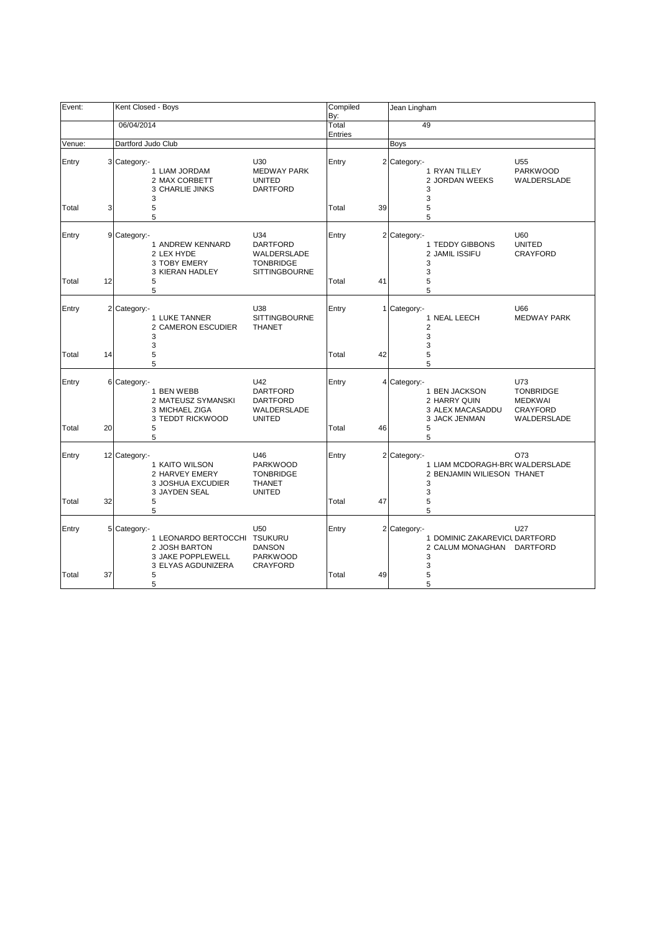| Event:         |    | Kent Closed - Boys                                                                                       |                                                                                   | Compiled<br>By:  |    | Jean Lingham                                                                                                                                                           |
|----------------|----|----------------------------------------------------------------------------------------------------------|-----------------------------------------------------------------------------------|------------------|----|------------------------------------------------------------------------------------------------------------------------------------------------------------------------|
|                |    | 06/04/2014                                                                                               |                                                                                   | Total<br>Entries |    | 49                                                                                                                                                                     |
| Venue:         |    | Dartford Judo Club                                                                                       |                                                                                   |                  |    | Boys                                                                                                                                                                   |
| Entry          |    | 3 Category:-<br>1 LIAM JORDAM<br>2 MAX CORBETT<br><b>3 CHARLIE JINKS</b><br>3                            | U30<br><b>MEDWAY PARK</b><br><b>UNITED</b><br><b>DARTFORD</b>                     | Entry            |    | 2 Category:-<br>U <sub>55</sub><br>1 RYAN TILLEY<br><b>PARKWOOD</b><br>2 JORDAN WEEKS<br>WALDERSLADE<br>3<br>3                                                         |
| Total          | 3  | 5<br>5                                                                                                   |                                                                                   | Total            | 39 | 5<br>5                                                                                                                                                                 |
| Entry          |    | 9 Category:-<br>1 ANDREW KENNARD<br>2 LEX HYDE<br>3 TOBY EMERY<br>3 KIERAN HADLEY                        | U34<br><b>DARTFORD</b><br>WALDERSLADE<br><b>TONBRIDGE</b><br><b>SITTINGBOURNE</b> | Entry            |    | 2 Category:-<br>U60<br>1 TEDDY GIBBONS<br><b>UNITED</b><br>2 JAMIL ISSIFU<br><b>CRAYFORD</b><br>3<br>3                                                                 |
| Total          | 12 | 5<br>5                                                                                                   |                                                                                   | Total            | 41 | 5<br>5                                                                                                                                                                 |
| Entry          |    | 2 Category:-<br>1 LUKE TANNER<br>2 CAMERON ESCUDIER<br>3                                                 | U38<br><b>SITTINGBOURNE</b><br><b>THANET</b>                                      | Entry            |    | U66<br>1 Category:-<br>1 NEAL LEECH<br><b>MEDWAY PARK</b><br>2<br>3                                                                                                    |
| Total          | 14 | 3<br>5<br>5                                                                                              |                                                                                   | Total            | 42 | 3<br>5<br>5                                                                                                                                                            |
| Entry<br>Total | 20 | 6 Category:-<br>1 BEN WEBB<br>2 MATEUSZ SYMANSKI<br>3 MICHAEL ZIGA<br>3 TEDDT RICKWOOD<br>5              | U42<br><b>DARTFORD</b><br><b>DARTFORD</b><br>WALDERSLADE<br><b>UNITED</b>         | Entry<br>Total   | 46 | U73<br>4 Category:-<br><b>TONBRIDGE</b><br>1 BEN JACKSON<br>2 HARRY QUIN<br><b>MEDKWAI</b><br><b>CRAYFORD</b><br>3 ALEX MACASADDU<br>3 JACK JENMAN<br>WALDERSLADE<br>5 |
|                |    | 5                                                                                                        |                                                                                   |                  |    | 5                                                                                                                                                                      |
| Entry          |    | 12 Category:-<br>1 KAITO WILSON<br>2 HARVEY EMERY<br>3 JOSHUA EXCUDIER<br>3 JAYDEN SEAL                  | U46<br><b>PARKWOOD</b><br><b>TONBRIDGE</b><br><b>THANET</b><br><b>UNITED</b>      | Entry            |    | 2 Category:-<br>O73<br>1 LIAM MCDORAGH-BR(WALDERSLADE<br>2 BENJAMIN WILIESON THANET<br>3<br>3                                                                          |
| Total          | 32 | 5<br>5                                                                                                   |                                                                                   | Total            | 47 | 5<br>5                                                                                                                                                                 |
| Entry          |    | 5 Category:-<br>1 LEONARDO BERTOCCHI TSUKURU<br>2 JOSH BARTON<br>3 JAKE POPPLEWELL<br>3 ELYAS AGDUNIZERA | U <sub>50</sub><br><b>DANSON</b><br><b>PARKWOOD</b><br><b>CRAYFORD</b>            | Entry            |    | 2 Category:-<br>U27<br>1 DOMINIC ZAKAREVICL DARTFORD<br>2 CALUM MONAGHAN<br>DARTFORD<br>3<br>3                                                                         |
| Total          | 37 | 5<br>5                                                                                                   |                                                                                   | Total            | 49 | 5<br>5                                                                                                                                                                 |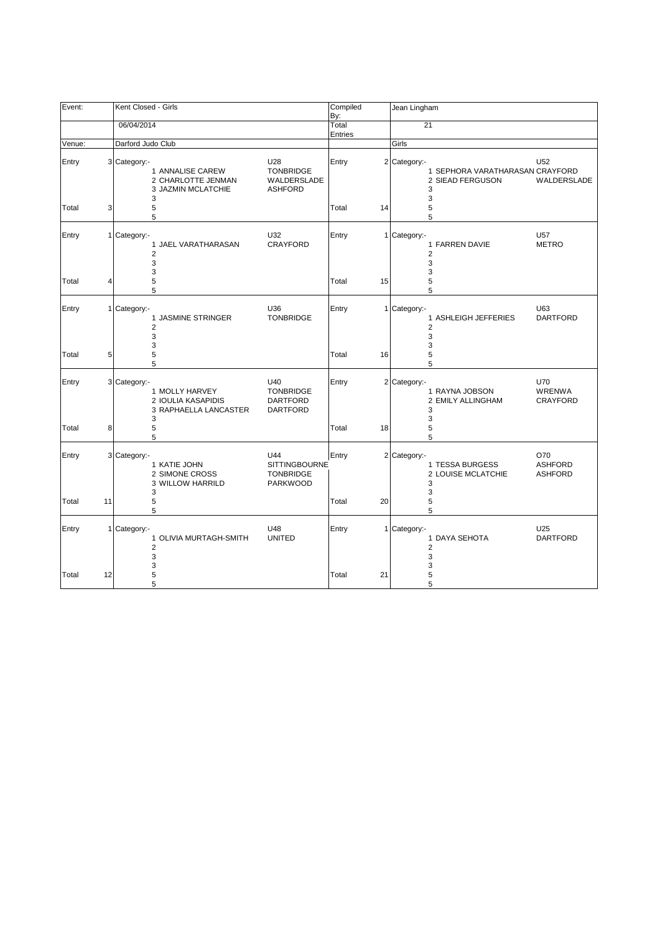| Event:         |                | Kent Closed - Girls                                                                                       |                                                             | Compiled<br>By:      | Jean Lingham                        |                                                                    |                                                |
|----------------|----------------|-----------------------------------------------------------------------------------------------------------|-------------------------------------------------------------|----------------------|-------------------------------------|--------------------------------------------------------------------|------------------------------------------------|
|                |                | 06/04/2014                                                                                                |                                                             | Total<br>Entries     | 21                                  |                                                                    |                                                |
| Venue:         |                | Darford Judo Club                                                                                         |                                                             |                      | Girls                               |                                                                    |                                                |
| Entry<br>Total | 3              | 3 Category:-<br>U <sub>28</sub><br>1 ANNALISE CAREW<br>2 CHARLOTTE JENMAN<br>3 JAZMIN MCLATCHIE<br>3<br>5 | <b>TONBRIDGE</b><br>WALDERSLADE<br><b>ASHFORD</b>           | Entry<br>Total<br>14 | 2 Category:-                        | 1 SEPHORA VARATHARASAN CRAYFORD<br>2 SIEAD FERGUSON<br>3<br>3<br>5 | U <sub>52</sub><br>WALDERSLADE                 |
|                |                | 5                                                                                                         |                                                             |                      |                                     | 5                                                                  |                                                |
| Entry          |                | 1 Category:-<br>U32<br>1 JAEL VARATHARASAN<br>$\overline{2}$<br>3<br>3                                    | <b>CRAYFORD</b>                                             | Entry                | 1 Category:-<br>$\overline{2}$      | 1 FARREN DAVIE<br>3<br>3                                           | U57<br><b>METRO</b>                            |
| Total          | $\overline{4}$ | 5<br>5                                                                                                    |                                                             | Total<br>15          | 5                                   | 5                                                                  |                                                |
| Entry          |                | U36<br>1 Category:-<br>1 JASMINE STRINGER<br>$\overline{2}$<br>3<br>3                                     | <b>TONBRIDGE</b>                                            | Entry                | 1 Category:-<br>$\overline{2}$<br>3 | 1 ASHLEIGH JEFFERIES<br>3                                          | U63<br><b>DARTFORD</b>                         |
| Total          | 5              | 5<br>5                                                                                                    |                                                             | Total<br>16          | 5                                   | 5                                                                  |                                                |
| Entry          |                | U40<br>3 Category:-<br>1 MOLLY HARVEY<br>2 IOULIA KASAPIDIS<br>3 RAPHAELLA LANCASTER<br>3                 | <b>TONBRIDGE</b><br><b>DARTFORD</b><br><b>DARTFORD</b>      | Entry                | 2 Category:-                        | 1 RAYNA JOBSON<br>2 EMILY ALLINGHAM<br>3<br>3                      | <b>U70</b><br><b>WRENWA</b><br><b>CRAYFORD</b> |
| Total          | 8              | 5<br>5                                                                                                    |                                                             | Total<br>18          | 5                                   | 5                                                                  |                                                |
| Entry          |                | 3 Category:-<br>U44<br>1 KATIE JOHN<br>2 SIMONE CROSS<br>3 WILLOW HARRILD<br>3                            | <b>SITTINGBOURNE</b><br><b>TONBRIDGE</b><br><b>PARKWOOD</b> | Entry                | 2 Category:-                        | 1 TESSA BURGESS<br>2 LOUISE MCLATCHIE<br>3<br>3                    | O70<br><b>ASHFORD</b><br><b>ASHFORD</b>        |
| Total          | 11             | 5<br>5                                                                                                    |                                                             | Total<br>20          | 5                                   | 5                                                                  |                                                |
| Entry          |                | 1 Category:-<br>U48<br>1 OLIVIA MURTAGH-SMITH<br>$\overline{2}$<br>3<br>3                                 | <b>UNITED</b>                                               | Entry                | 1 Category:-<br>$\overline{2}$      | 1 DAYA SEHOTA<br>3<br>3                                            | U25<br><b>DARTFORD</b>                         |
| Total          | 12             | 5<br>5                                                                                                    |                                                             | Total<br>21          |                                     | 5<br>5                                                             |                                                |